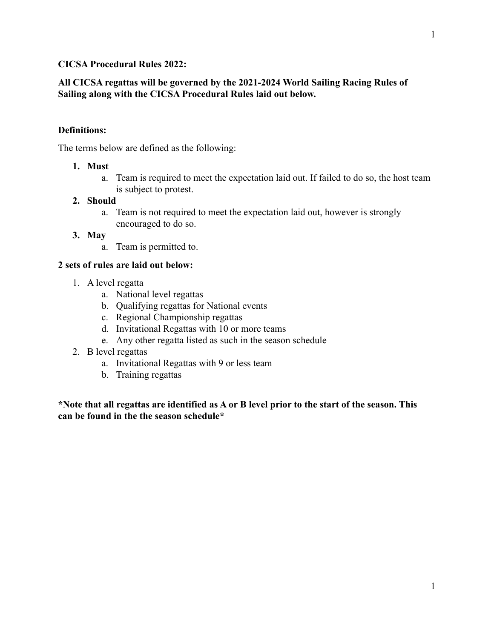## **CICSA Procedural Rules 2022:**

## **All CICSA regattas will be governed by the 2021-2024 World Sailing Racing Rules of Sailing along with the CICSA Procedural Rules laid out below.**

### **Definitions:**

The terms below are defined as the following:

### **1. Must**

a. Team is required to meet the expectation laid out. If failed to do so, the host team is subject to protest.

### **2. Should**

a. Team is not required to meet the expectation laid out, however is strongly encouraged to do so.

### **3. May**

a. Team is permitted to.

### **2 sets of rules are laid out below:**

- 1. A level regatta
	- a. National level regattas
	- b. Qualifying regattas for National events
	- c. Regional Championship regattas
	- d. Invitational Regattas with 10 or more teams
	- e. Any other regatta listed as such in the season schedule
- 2. B level regattas
	- a. Invitational Regattas with 9 or less team
	- b. Training regattas

**\*Note that all regattas are identified as A or B level prior to the start of the season. This can be found in the the season schedule\***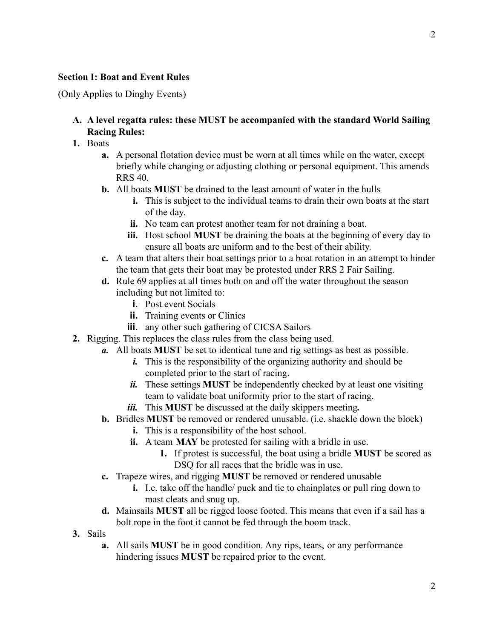### **Section I: Boat and Event Rules**

(Only Applies to Dinghy Events)

# **A. A level regatta rules: these MUST be accompanied with the standard World Sailing Racing Rules:**

- **1.** Boats
	- **a.** A personal flotation device must be worn at all times while on the water, except briefly while changing or adjusting clothing or personal equipment. This amends RRS 40.
	- **b.** All boats **MUST** be drained to the least amount of water in the hulls
		- **i.** This is subject to the individual teams to drain their own boats at the start of the day.
		- **ii.** No team can protest another team for not draining a boat.
		- **iii.** Host school **MUST** be draining the boats at the beginning of every day to ensure all boats are uniform and to the best of their ability.
	- **c.** A team that alters their boat settings prior to a boat rotation in an attempt to hinder the team that gets their boat may be protested under RRS 2 Fair Sailing.
	- **d.** Rule 69 applies at all times both on and off the water throughout the season including but not limited to:
		- **i.** Post event Socials
		- **ii.** Training events or Clinics
		- **iii.** any other such gathering of CICSA Sailors
- **2.** Rigging. This replaces the class rules from the class being used.
	- *a.* All boats **MUST** be set to identical tune and rig settings as best as possible.
		- *i.* This is the responsibility of the organizing authority and should be completed prior to the start of racing.
		- *ii.* These settings **MUST** be independently checked by at least one visiting team to validate boat uniformity prior to the start of racing.
		- *iii.* This **MUST** be discussed at the daily skippers meeting*.*
	- **b.** Bridles **MUST** be removed or rendered unusable. (i.e. shackle down the block)
		- **i.** This is a responsibility of the host school.
		- **ii.** A team **MAY** be protested for sailing with a bridle in use.
			- **1.** If protest is successful, the boat using a bridle **MUST** be scored as DSQ for all races that the bridle was in use.
	- **c.** Trapeze wires, and rigging **MUST** be removed or rendered unusable
		- **i.** I.e. take off the handle/ puck and tie to chainplates or pull ring down to mast cleats and snug up.
	- **d.** Mainsails **MUST** all be rigged loose footed. This means that even if a sail has a bolt rope in the foot it cannot be fed through the boom track.
- **3.** Sails
	- **a.** All sails **MUST** be in good condition. Any rips, tears, or any performance hindering issues **MUST** be repaired prior to the event.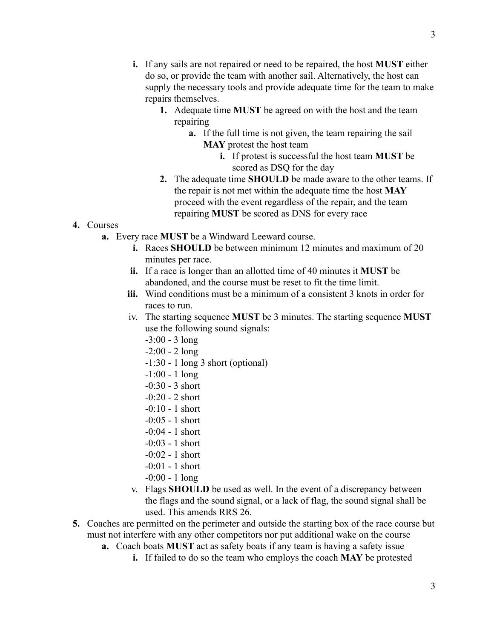- **i.** If any sails are not repaired or need to be repaired, the host **MUST** either do so, or provide the team with another sail. Alternatively, the host can supply the necessary tools and provide adequate time for the team to make repairs themselves.
	- **1.** Adequate time **MUST** be agreed on with the host and the team repairing
		- **a.** If the full time is not given, the team repairing the sail **MAY** protest the host team
			- **i.** If protest is successful the host team **MUST** be scored as DSQ for the day
	- **2.** The adequate time **SHOULD** be made aware to the other teams. If the repair is not met within the adequate time the host **MAY** proceed with the event regardless of the repair, and the team repairing **MUST** be scored as DNS for every race

## **4.** Courses

- **a.** Every race **MUST** be a Windward Leeward course.
	- **i.** Races **SHOULD** be between minimum 12 minutes and maximum of 20 minutes per race.
	- **ii.** If a race is longer than an allotted time of 40 minutes it **MUST** be abandoned, and the course must be reset to fit the time limit.
	- **iii.** Wind conditions must be a minimum of a consistent 3 knots in order for races to run.
	- iv. The starting sequence **MUST** be 3 minutes. The starting sequence **MUST** use the following sound signals:
		- -3:00 3 long
		- $-2:00 2$  long
		- -1:30 1 long 3 short (optional)
		- -1:00 1 long
		- -0:30 3 short
		- $-0:20 2$  short
		- -0:10 1 short
		- -0:05 1 short
		- $-0:04 1$  short
		- -0:03 1 short
		- -0:02 1 short
		- -0:01 1 short
		- -0:00 1 long
	- v. Flags **SHOULD** be used as well. In the event of a discrepancy between the flags and the sound signal, or a lack of flag, the sound signal shall be used. This amends RRS 26.
- **5.** Coaches are permitted on the perimeter and outside the starting box of the race course but must not interfere with any other competitors nor put additional wake on the course
	- **a.** Coach boats **MUST** act as safety boats if any team is having a safety issue
		- **i.** If failed to do so the team who employs the coach **MAY** be protested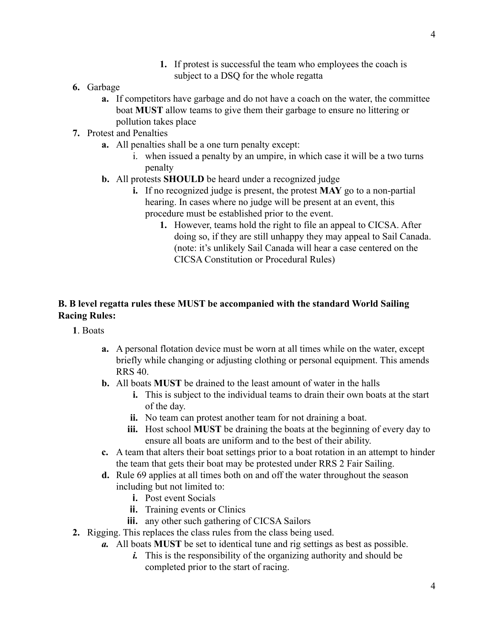- **1.** If protest is successful the team who employees the coach is subject to a DSQ for the whole regatta
- **6.** Garbage
	- **a.** If competitors have garbage and do not have a coach on the water, the committee boat **MUST** allow teams to give them their garbage to ensure no littering or pollution takes place
- **7.** Protest and Penalties
	- **a.** All penalties shall be a one turn penalty except:
		- i. when issued a penalty by an umpire, in which case it will be a two turns penalty
	- **b.** All protests **SHOULD** be heard under a recognized judge
		- **i.** If no recognized judge is present, the protest **MAY** go to a non-partial hearing. In cases where no judge will be present at an event, this procedure must be established prior to the event.
			- **1.** However, teams hold the right to file an appeal to CICSA. After doing so, if they are still unhappy they may appeal to Sail Canada. (note: it's unlikely Sail Canada will hear a case centered on the CICSA Constitution or Procedural Rules)

# **B. B level regatta rules these MUST be accompanied with the standard World Sailing Racing Rules:**

- **1**. Boats
	- **a.** A personal flotation device must be worn at all times while on the water, except briefly while changing or adjusting clothing or personal equipment. This amends RRS 40.
	- **b.** All boats **MUST** be drained to the least amount of water in the halls
		- **i.** This is subject to the individual teams to drain their own boats at the start of the day.
		- **ii.** No team can protest another team for not draining a boat.
		- **iii.** Host school **MUST** be draining the boats at the beginning of every day to ensure all boats are uniform and to the best of their ability.
	- **c.** A team that alters their boat settings prior to a boat rotation in an attempt to hinder the team that gets their boat may be protested under RRS 2 Fair Sailing.
	- **d.** Rule 69 applies at all times both on and off the water throughout the season including but not limited to:
		- **i.** Post event Socials
		- **ii.** Training events or Clinics
		- **iii.** any other such gathering of CICSA Sailors
- **2.** Rigging. This replaces the class rules from the class being used.
	- *a.* All boats **MUST** be set to identical tune and rig settings as best as possible.
		- *i.* This is the responsibility of the organizing authority and should be completed prior to the start of racing.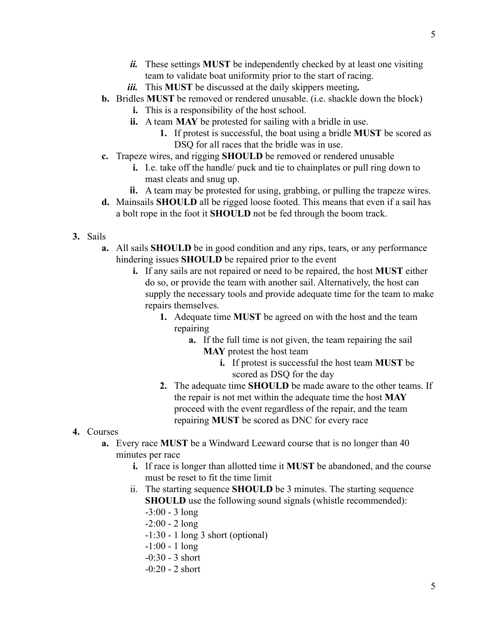- *ii.* These settings **MUST** be independently checked by at least one visiting team to validate boat uniformity prior to the start of racing.
- *iii.* This **MUST** be discussed at the daily skippers meeting*.*
- **b.** Bridles **MUST** be removed or rendered unusable. (i.e. shackle down the block)
	- **i.** This is a responsibility of the host school.
	- **ii.** A team **MAY** be protested for sailing with a bridle in use.
		- **1.** If protest is successful, the boat using a bridle **MUST** be scored as DSQ for all races that the bridle was in use.
- **c.** Trapeze wires, and rigging **SHOULD** be removed or rendered unusable
	- **i.** I.e. take off the handle/ puck and tie to chainplates or pull ring down to mast cleats and snug up.
	- **ii.** A team may be protested for using, grabbing, or pulling the trapeze wires.
- **d.** Mainsails **SHOULD** all be rigged loose footed. This means that even if a sail has a bolt rope in the foot it **SHOULD** not be fed through the boom track.
- **3.** Sails
	- **a.** All sails **SHOULD** be in good condition and any rips, tears, or any performance hindering issues **SHOULD** be repaired prior to the event
		- **i.** If any sails are not repaired or need to be repaired, the host **MUST** either do so, or provide the team with another sail. Alternatively, the host can supply the necessary tools and provide adequate time for the team to make repairs themselves.
			- **1.** Adequate time **MUST** be agreed on with the host and the team repairing
				- **a.** If the full time is not given, the team repairing the sail **MAY** protest the host team
					- **i.** If protest is successful the host team **MUST** be scored as DSQ for the day
			- **2.** The adequate time **SHOULD** be made aware to the other teams. If the repair is not met within the adequate time the host **MAY** proceed with the event regardless of the repair, and the team repairing **MUST** be scored as DNC for every race
- **4.** Courses
	- **a.** Every race **MUST** be a Windward Leeward course that is no longer than 40 minutes per race
		- **i.** If race is longer than allotted time it **MUST** be abandoned, and the course must be reset to fit the time limit
		- ii. The starting sequence **SHOULD** be 3 minutes. The starting sequence **SHOULD** use the following sound signals (whistle recommended):
			- -3:00 3 long
			- $-2:00 2$  long
			- -1:30 1 long 3 short (optional)
			- -1:00 1 long
			- -0:30 3 short
			- -0:20 2 short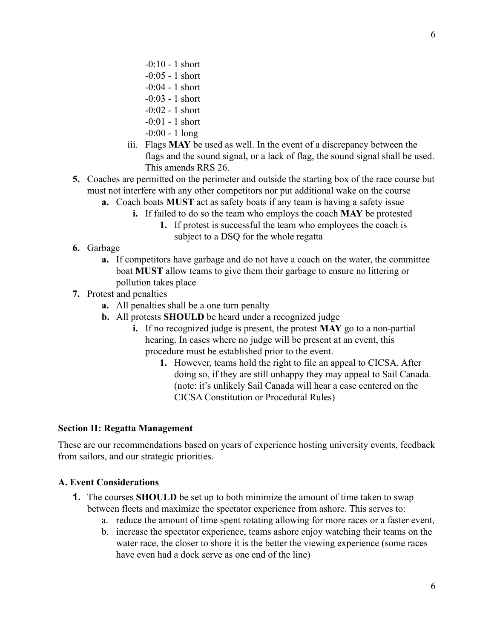- -0:10 1 short
- -0:05 1 short
- -0:04 1 short
- -0:03 1 short
- -0:02 1 short
- -0:01 1 short
- -0:00 1 long
- iii. Flags **MAY** be used as well. In the event of a discrepancy between the flags and the sound signal, or a lack of flag, the sound signal shall be used. This amends RRS 26.
- **5.** Coaches are permitted on the perimeter and outside the starting box of the race course but must not interfere with any other competitors nor put additional wake on the course
	- **a.** Coach boats **MUST** act as safety boats if any team is having a safety issue
		- **i.** If failed to do so the team who employs the coach **MAY** be protested
			- **1.** If protest is successful the team who employees the coach is subject to a DSQ for the whole regatta
- **6.** Garbage
	- **a.** If competitors have garbage and do not have a coach on the water, the committee boat **MUST** allow teams to give them their garbage to ensure no littering or pollution takes place
- **7.** Protest and penalties
	- **a.** All penalties shall be a one turn penalty
	- **b.** All protests **SHOULD** be heard under a recognized judge
		- **i.** If no recognized judge is present, the protest **MAY** go to a non-partial hearing. In cases where no judge will be present at an event, this procedure must be established prior to the event.
			- **1.** However, teams hold the right to file an appeal to CICSA. After doing so, if they are still unhappy they may appeal to Sail Canada. (note: it's unlikely Sail Canada will hear a case centered on the CICSA Constitution or Procedural Rules)

## **Section II: Regatta Management**

These are our recommendations based on years of experience hosting university events, feedback from sailors, and our strategic priorities.

## **A. Event Considerations**

- **1.** The courses **SHOULD** be set up to both minimize the amount of time taken to swap between fleets and maximize the spectator experience from ashore. This serves to:
	- a. reduce the amount of time spent rotating allowing for more races or a faster event,
	- b. increase the spectator experience, teams ashore enjoy watching their teams on the water race, the closer to shore it is the better the viewing experience (some races have even had a dock serve as one end of the line)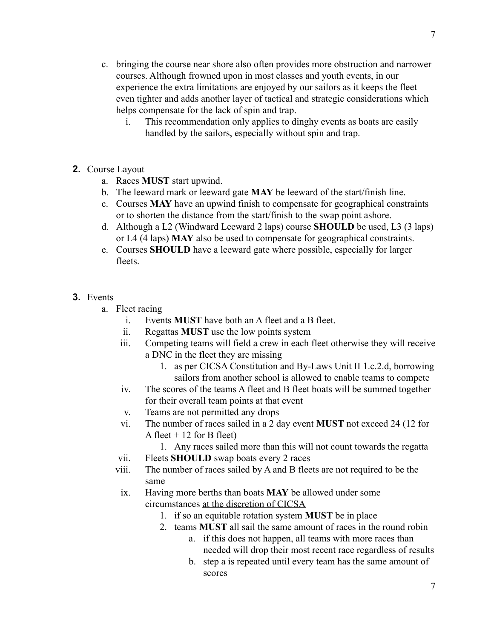- c. bringing the course near shore also often provides more obstruction and narrower courses. Although frowned upon in most classes and youth events, in our experience the extra limitations are enjoyed by our sailors as it keeps the fleet even tighter and adds another layer of tactical and strategic considerations which helps compensate for the lack of spin and trap.
	- i. This recommendation only applies to dinghy events as boats are easily handled by the sailors, especially without spin and trap.
- **2.** Course Layout
	- a. Races **MUST** start upwind.
	- b. The leeward mark or leeward gate **MAY** be leeward of the start/finish line.
	- c. Courses **MAY** have an upwind finish to compensate for geographical constraints or to shorten the distance from the start/finish to the swap point ashore.
	- d. Although a L2 (Windward Leeward 2 laps) course **SHOULD** be used, L3 (3 laps) or L4 (4 laps) **MAY** also be used to compensate for geographical constraints.
	- e. Courses **SHOULD** have a leeward gate where possible, especially for larger fleets.
- **3.** Events
	- a. Fleet racing
		- i. Events **MUST** have both an A fleet and a B fleet.
		- ii. Regattas **MUST** use the low points system
		- iii. Competing teams will field a crew in each fleet otherwise they will receive a DNC in the fleet they are missing
			- 1. as per CICSA Constitution and By-Laws Unit II 1.c.2.d, borrowing sailors from another school is allowed to enable teams to compete
		- iv. The scores of the teams A fleet and B fleet boats will be summed together for their overall team points at that event
		- v. Teams are not permitted any drops
		- vi. The number of races sailed in a 2 day event **MUST** not exceed 24 (12 for A fleet  $+ 12$  for B fleet)
			- 1. Any races sailed more than this will not count towards the regatta
		- vii. Fleets **SHOULD** swap boats every 2 races
		- viii. The number of races sailed by A and B fleets are not required to be the same
		- ix. Having more berths than boats **MAY** be allowed under some circumstances at the discretion of CICSA
			- 1. if so an equitable rotation system **MUST** be in place
			- 2. teams **MUST** all sail the same amount of races in the round robin
				- a. if this does not happen, all teams with more races than needed will drop their most recent race regardless of results
				- b. step a is repeated until every team has the same amount of scores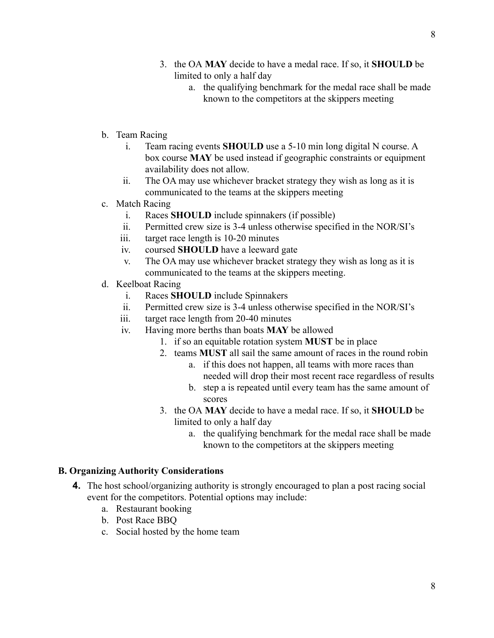- 3. the OA **MAY** decide to have a medal race. If so, it **SHOULD** be limited to only a half day
	- a. the qualifying benchmark for the medal race shall be made known to the competitors at the skippers meeting
- b. Team Racing
	- i. Team racing events **SHOULD** use a 5-10 min long digital N course. A box course **MAY** be used instead if geographic constraints or equipment availability does not allow.
	- ii. The OA may use whichever bracket strategy they wish as long as it is communicated to the teams at the skippers meeting
- c. Match Racing
	- i. Races **SHOULD** include spinnakers (if possible)
	- ii. Permitted crew size is 3-4 unless otherwise specified in the NOR/SI's
	- iii. target race length is 10-20 minutes
	- iv. coursed **SHOULD** have a leeward gate
	- v. The OA may use whichever bracket strategy they wish as long as it is communicated to the teams at the skippers meeting.
- d. Keelboat Racing
	- i. Races **SHOULD** include Spinnakers
	- ii. Permitted crew size is 3-4 unless otherwise specified in the NOR/SI's
	- iii. target race length from 20-40 minutes
	- iv. Having more berths than boats **MAY** be allowed
		- 1. if so an equitable rotation system **MUST** be in place
		- 2. teams **MUST** all sail the same amount of races in the round robin
			- a. if this does not happen, all teams with more races than needed will drop their most recent race regardless of results
			- b. step a is repeated until every team has the same amount of scores
		- 3. the OA **MAY** decide to have a medal race. If so, it **SHOULD** be limited to only a half day
			- a. the qualifying benchmark for the medal race shall be made known to the competitors at the skippers meeting

### **B. Organizing Authority Considerations**

- **4.** The host school/organizing authority is strongly encouraged to plan a post racing social event for the competitors. Potential options may include:
	- a. Restaurant booking
	- b. Post Race BBQ
	- c. Social hosted by the home team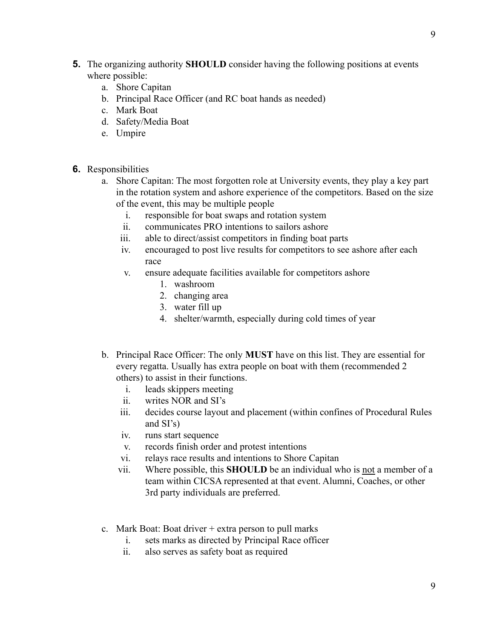- **5.** The organizing authority **SHOULD** consider having the following positions at events where possible:
	- a. Shore Capitan
	- b. Principal Race Officer (and RC boat hands as needed)
	- c. Mark Boat
	- d. Safety/Media Boat
	- e. Umpire
- **6.** Responsibilities
	- a. Shore Capitan: The most forgotten role at University events, they play a key part in the rotation system and ashore experience of the competitors. Based on the size of the event, this may be multiple people
		- i. responsible for boat swaps and rotation system
		- ii. communicates PRO intentions to sailors ashore
		- iii. able to direct/assist competitors in finding boat parts
		- iv. encouraged to post live results for competitors to see ashore after each race
		- v. ensure adequate facilities available for competitors ashore
			- 1. washroom
			- 2. changing area
			- 3. water fill up
			- 4. shelter/warmth, especially during cold times of year
	- b. Principal Race Officer: The only **MUST** have on this list. They are essential for every regatta. Usually has extra people on boat with them (recommended 2 others) to assist in their functions.
		- i. leads skippers meeting
		- ii. writes NOR and SI's
		- iii. decides course layout and placement (within confines of Procedural Rules and SI's)
		- iv. runs start sequence
		- v. records finish order and protest intentions
		- vi. relays race results and intentions to Shore Capitan
		- vii. Where possible, this **SHOULD** be an individual who is not a member of a team within CICSA represented at that event. Alumni, Coaches, or other 3rd party individuals are preferred.
	- c. Mark Boat: Boat driver + extra person to pull marks
		- i. sets marks as directed by Principal Race officer
		- ii. also serves as safety boat as required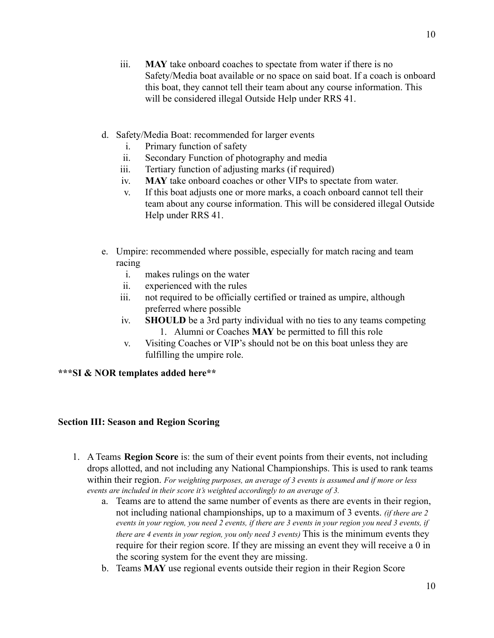- iii. **MAY** take onboard coaches to spectate from water if there is no Safety/Media boat available or no space on said boat. If a coach is onboard this boat, they cannot tell their team about any course information. This will be considered illegal Outside Help under RRS 41.
- d. Safety/Media Boat: recommended for larger events
	- i. Primary function of safety
	- ii. Secondary Function of photography and media
	- iii. Tertiary function of adjusting marks (if required)
	- iv. **MAY** take onboard coaches or other VIPs to spectate from water.
	- v. If this boat adjusts one or more marks, a coach onboard cannot tell their team about any course information. This will be considered illegal Outside Help under RRS 41.
- e. Umpire: recommended where possible, especially for match racing and team racing
	- i. makes rulings on the water
	- ii. experienced with the rules
	- iii. not required to be officially certified or trained as umpire, although preferred where possible
	- iv. **SHOULD** be a 3rd party individual with no ties to any teams competing 1. Alumni or Coaches **MAY** be permitted to fill this role
	- v. Visiting Coaches or VIP's should not be on this boat unless they are fulfilling the umpire role.

## **\*\*\*SI & NOR templates added here\*\***

## **Section III: Season and Region Scoring**

- 1. A Teams **Region Score** is: the sum of their event points from their events, not including drops allotted, and not including any National Championships. This is used to rank teams within their region. *For weighting purposes, an average of 3 events is assumed and if more or less events are included in their score it's weighted accordingly to an average of 3.*
	- a. Teams are to attend the same number of events as there are events in their region, not including national championships, up to a maximum of 3 events. *(if there are 2* events in your region, you need 2 events, if there are 3 events in your region you need 3 events, if *there are 4 events in your region, you only need 3 events)* This is the minimum events they require for their region score. If they are missing an event they will receive a 0 in the scoring system for the event they are missing.
	- b. Teams **MAY** use regional events outside their region in their Region Score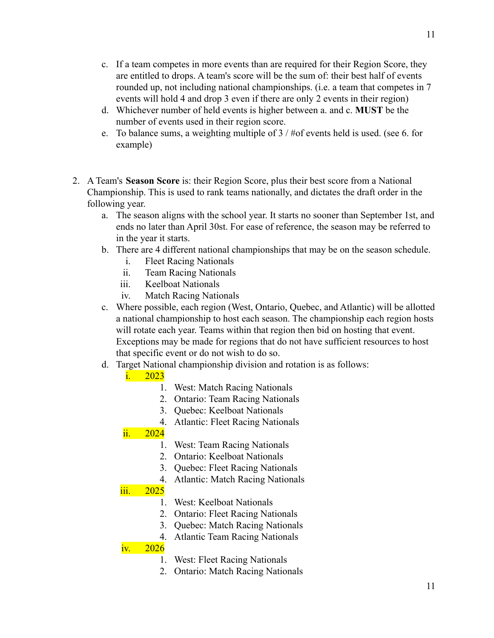- c. If a team competes in more events than are required for their Region Score, they are entitled to drops. A team's score will be the sum of: their best half of events rounded up, not including national championships. (i.e. a team that competes in 7 events will hold 4 and drop 3 even if there are only 2 events in their region)
- d. Whichever number of held events is higher between a. and c. **MUST** be the number of events used in their region score.
- e. To balance sums, a weighting multiple of 3 / #of events held is used. (see 6. for example)
- 2. A Team's **Season Score** is: their Region Score, plus their best score from a National Championship. This is used to rank teams nationally, and dictates the draft order in the following year.
	- a. The season aligns with the school year. It starts no sooner than September 1st, and ends no later than April 30st. For ease of reference, the season may be referred to in the year it starts.
	- b. There are 4 different national championships that may be on the season schedule.
		- i. Fleet Racing Nationals
		- ii. Team Racing Nationals
		- iii. Keelboat Nationals
		- iv. Match Racing Nationals
	- c. Where possible, each region (West, Ontario, Quebec, and Atlantic) will be allotted a national championship to host each season. The championship each region hosts will rotate each year. Teams within that region then bid on hosting that event. Exceptions may be made for regions that do not have sufficient resources to host that specific event or do not wish to do so.
	- d. Target National championship division and rotation is as follows:

# i. 2023

- 1. West: Match Racing Nationals
- 2. Ontario: Team Racing Nationals
- 3. Quebec: Keelboat Nationals
- 4. Atlantic: Fleet Racing Nationals

# ii. 2024

- 1. West: Team Racing Nationals
- 2. Ontario: Keelboat Nationals
- 3. Quebec: Fleet Racing Nationals
- 4. Atlantic: Match Racing Nationals

# iii. 2025

- 1. West: Keelboat Nationals
- 2. Ontario: Fleet Racing Nationals
- 3. Quebec: Match Racing Nationals
- 4. Atlantic Team Racing Nationals

# <u>iv.  $2026$ </u>

- 1. West: Fleet Racing Nationals
- 2. Ontario: Match Racing Nationals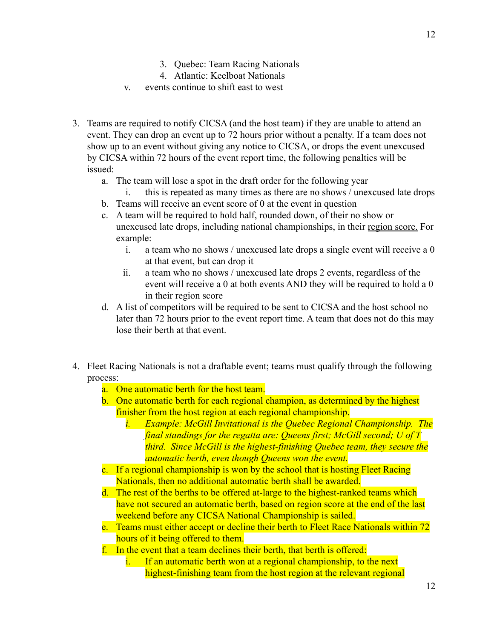- 3. Quebec: Team Racing Nationals
- 4. Atlantic: Keelboat Nationals
- v. events continue to shift east to west
- 3. Teams are required to notify CICSA (and the host team) if they are unable to attend an event. They can drop an event up to 72 hours prior without a penalty. If a team does not show up to an event without giving any notice to CICSA, or drops the event unexcused by CICSA within 72 hours of the event report time, the following penalties will be issued:
	- a. The team will lose a spot in the draft order for the following year
		- i. this is repeated as many times as there are no shows / unexcused late drops
	- b. Teams will receive an event score of 0 at the event in question
	- c. A team will be required to hold half, rounded down, of their no show or unexcused late drops, including national championships, in their region score. For example:
		- i. a team who no shows / unexcused late drops a single event will receive a 0 at that event, but can drop it
		- ii. a team who no shows / unexcused late drops 2 events, regardless of the event will receive a 0 at both events AND they will be required to hold a 0 in their region score
	- d. A list of competitors will be required to be sent to CICSA and the host school no later than 72 hours prior to the event report time. A team that does not do this may lose their berth at that event.
- 4. Fleet Racing Nationals is not a draftable event; teams must qualify through the following process:
	- a. One automatic berth for the host team.
	- b. One automatic berth for each regional champion, as determined by the highest finisher from the host region at each regional championship.
		- *i. Example: McGill Invitational is the Quebec Regional Championship. The final standings for the regatta are: Queens first; McGill second; U of T third. Since McGill is the highest-finishing Quebec team, they secure the automatic berth, even though Queens won the event.*
	- c. If a regional championship is won by the school that is hosting Fleet Racing Nationals, then no additional automatic berth shall be awarded.
	- d. The rest of the berths to be offered at-large to the highest-ranked teams which have not secured an automatic berth, based on region score at the end of the last weekend before any CICSA National Championship is sailed.
	- e. Teams must either accept or decline their berth to Fleet Race Nationals within 72 hours of it being offered to them.
	- f. In the event that a team declines their berth, that berth is offered:
		- i. If an automatic berth won at a regional championship, to the next highest-finishing team from the host region at the relevant regional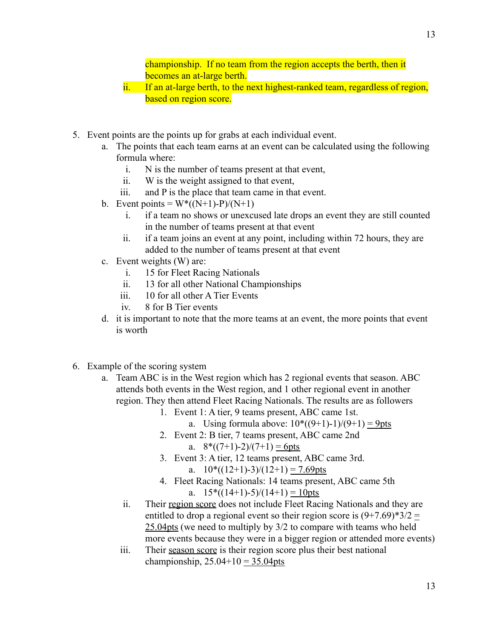championship. If no team from the region accepts the berth, then it becomes an at-large berth.

- ii. If an at-large berth, to the next highest-ranked team, regardless of region, based on region score.
- 5. Event points are the points up for grabs at each individual event.
	- a. The points that each team earns at an event can be calculated using the following formula where:
		- i. N is the number of teams present at that event,
		- ii. W is the weight assigned to that event,
		- iii. and P is the place that team came in that event.
	- b. Event points =  $W^*((N+1)-P)/(N+1)$ 
		- i. if a team no shows or unexcused late drops an event they are still counted in the number of teams present at that event
		- ii. if a team joins an event at any point, including within 72 hours, they are added to the number of teams present at that event
	- c. Event weights (W) are:
		- i. 15 for Fleet Racing Nationals
		- ii. 13 for all other National Championships
		- iii. 10 for all other A Tier Events
		- iv. 8 for B Tier events
	- d. it is important to note that the more teams at an event, the more points that event is worth
- 6. Example of the scoring system
	- a. Team ABC is in the West region which has 2 regional events that season. ABC attends both events in the West region, and 1 other regional event in another region. They then attend Fleet Racing Nationals. The results are as followers
		- 1. Event 1: A tier, 9 teams present, ABC came 1st.
			- a. Using formula above:  $10^*((9+1)-1)/(9+1) = 9$ pts
		- 2. Event 2: B tier, 7 teams present, ABC came 2nd
			- a.  $8*((7+1)-2)/(7+1) = 6pts$
		- 3. Event 3: A tier, 12 teams present, ABC came 3rd.
			- a.  $10^*((12+1)-3)/(12+1) = 7.69$ pts
		- 4. Fleet Racing Nationals: 14 teams present, ABC came 5th a.  $15*((14+1)-5)/(14+1) = 10$
		- ii. Their region score does not include Fleet Racing Nationals and they are entitled to drop a regional event so their region score is  $(9+7.69)$ <sup>\*3</sup>/2 = 25.04pts (we need to multiply by 3/2 to compare with teams who held more events because they were in a bigger region or attended more events)
		- iii. Their season score is their region score plus their best national championship,  $25.04+10 = 35.04$ pts